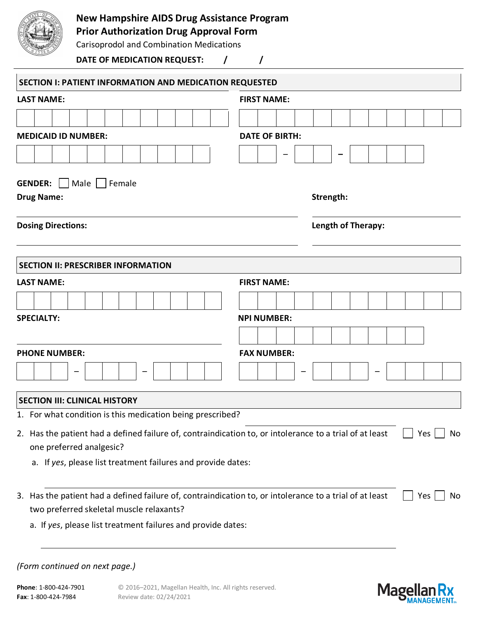

## **New Hampshire AIDS Drug Assistance Program**

## **Prior Authorization Drug Approval Form**

Carisoprodol and Combination Medications

DATE OF MEDICATION REQUEST:  $\left/ \frac{1}{\left/ \frac{1}{\left/ \frac{1}{\left(1-\frac{1}{\left(1-\frac{1}{\left(1-\frac{1}{\left(1-\frac{1}{\left(1-\frac{1}{\left(1-\frac{1}{\left(1-\frac{1}{\left(1-\frac{1}{\left(1-\frac{1}{\left(1-\frac{1}{\left(1-\frac{1}{\left(1-\frac{1}{\left(1-\frac{1}{\left(1-\frac{1}{\left(1-\frac{1}{\left(1-\frac{1}{\left(1-\frac{1}{\left(1-\frac{1}{\left(1-\frac{$ 

| SECTION I: PATIENT INFORMATION AND MEDICATION REQUESTED                                                 |                       |  |  |  |  |  |  |  |  |  |  |
|---------------------------------------------------------------------------------------------------------|-----------------------|--|--|--|--|--|--|--|--|--|--|
| <b>LAST NAME:</b>                                                                                       | <b>FIRST NAME:</b>    |  |  |  |  |  |  |  |  |  |  |
|                                                                                                         |                       |  |  |  |  |  |  |  |  |  |  |
| <b>MEDICAID ID NUMBER:</b>                                                                              | <b>DATE OF BIRTH:</b> |  |  |  |  |  |  |  |  |  |  |
|                                                                                                         | -                     |  |  |  |  |  |  |  |  |  |  |
|                                                                                                         |                       |  |  |  |  |  |  |  |  |  |  |
| <b>GENDER:</b><br>  Male     Female<br><b>Drug Name:</b>                                                | Strength:             |  |  |  |  |  |  |  |  |  |  |
| <b>Dosing Directions:</b>                                                                               | Length of Therapy:    |  |  |  |  |  |  |  |  |  |  |
| <b>SECTION II: PRESCRIBER INFORMATION</b>                                                               |                       |  |  |  |  |  |  |  |  |  |  |
| <b>LAST NAME:</b>                                                                                       | <b>FIRST NAME:</b>    |  |  |  |  |  |  |  |  |  |  |
|                                                                                                         |                       |  |  |  |  |  |  |  |  |  |  |
| <b>SPECIALTY:</b>                                                                                       | <b>NPI NUMBER:</b>    |  |  |  |  |  |  |  |  |  |  |
|                                                                                                         |                       |  |  |  |  |  |  |  |  |  |  |
| <b>PHONE NUMBER:</b>                                                                                    | <b>FAX NUMBER:</b>    |  |  |  |  |  |  |  |  |  |  |
|                                                                                                         |                       |  |  |  |  |  |  |  |  |  |  |
| <b>SECTION III: CLINICAL HISTORY</b>                                                                    |                       |  |  |  |  |  |  |  |  |  |  |
| 1. For what condition is this medication being prescribed?                                              |                       |  |  |  |  |  |  |  |  |  |  |
| 2. Has the patient had a defined failure of, contraindication to, or intolerance to a trial of at least | Yes  <br>No           |  |  |  |  |  |  |  |  |  |  |
| one preferred analgesic?                                                                                |                       |  |  |  |  |  |  |  |  |  |  |
| a. If yes, please list treatment failures and provide dates:                                            |                       |  |  |  |  |  |  |  |  |  |  |
| 3. Has the patient had a defined failure of, contraindication to, or intolerance to a trial of at least | Yes<br>No             |  |  |  |  |  |  |  |  |  |  |
| two preferred skeletal muscle relaxants?                                                                |                       |  |  |  |  |  |  |  |  |  |  |
| a. If yes, please list treatment failures and provide dates:                                            |                       |  |  |  |  |  |  |  |  |  |  |
|                                                                                                         |                       |  |  |  |  |  |  |  |  |  |  |
| (Form continued on next page.)                                                                          |                       |  |  |  |  |  |  |  |  |  |  |